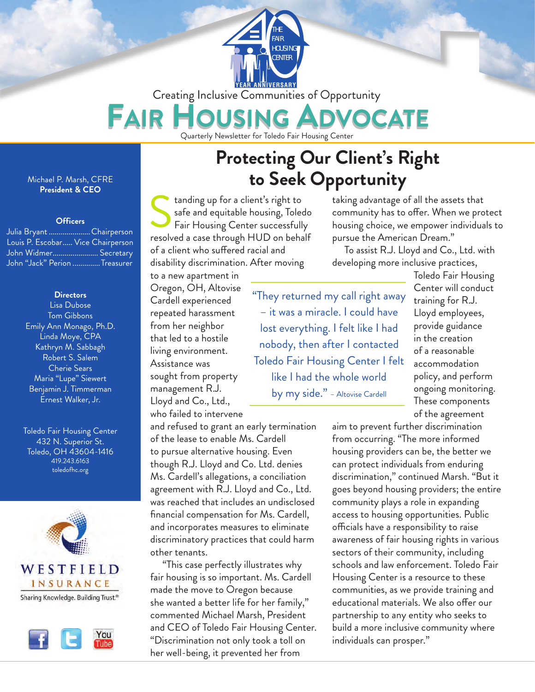

Creating Inclusive Communities of Opportunity

### FAIR VOCATE

Quarterly Newsletter for Toledo Fair Housing Center

#### Michael P. Marsh, CFRE **President & CEO**

### **Officers**

| Julia Bryant Chairperson          |  |
|-----------------------------------|--|
| Louis P. Escobar Vice Chairperson |  |
| John Widmer Secretary             |  |
| John "Jack" Perion Treasurer      |  |

#### **Directors**

Lisa Dubose Tom Gibbons Emily Ann Monago, Ph.D. Linda Moye, CPA Kathryn M. Sabbagh Robert S. Salem Cherie Sears Maria "Lupe" Siewert Benjamin J. Timmerman Ernest Walker, Jr.

Toledo Fair Housing Center 432 N. Superior St. Toledo, OH 43604-1416 419.243.6163 toledofhc.org





## **Protecting Our Client's Right to Seek Opportunity**

tanding up for a client's right to safe and equitable housing, Toledo Fair Housing Center successfully tanding up for a client's right to<br>safe and equitable housing, Toledo<br>Fair Housing Center successfully<br>resolved a case through HUD on behalf of a client who suffered racial and disability discrimination. After moving

taking advantage of all the assets that community has to offer. When we protect housing choice, we empower individuals to pursue the American Dream."

To assist R.J. Lloyd and Co., Ltd. with developing more inclusive practices,

to a new apartment in Oregon, OH, Altovise Cardell experienced repeated harassment from her neighbor that led to a hostile living environment. Assistance was sought from property management R.J. Lloyd and Co., Ltd., who failed to intervene

"They returned my call right away – it was a miracle. I could have lost everything. I felt like I had nobody, then after I contacted Toledo Fair Housing Center I felt like I had the whole world by my side." – Altovise Cardell

Toledo Fair Housing Center will conduct training for R.J. Lloyd employees, provide guidance in the creation of a reasonable accommodation policy, and perform ongoing monitoring. These components of the agreement

and refused to grant an early termination of the lease to enable Ms. Cardell to pursue alternative housing. Even though R.J. Lloyd and Co. Ltd. denies Ms. Cardell's allegations, a conciliation agreement with R.J. Lloyd and Co., Ltd. was reached that includes an undisclosed financial compensation for Ms. Cardell, and incorporates measures to eliminate discriminatory practices that could harm other tenants.

"This case perfectly illustrates why fair housing is so important. Ms. Cardell made the move to Oregon because she wanted a better life for her family," commented Michael Marsh, President and CEO of Toledo Fair Housing Center. "Discrimination not only took a toll on her well-being, it prevented her from

aim to prevent further discrimination from occurring. "The more informed housing providers can be, the better we can protect individuals from enduring discrimination," continued Marsh. "But it goes beyond housing providers; the entire community plays a role in expanding access to housing opportunities. Public officials have a responsibility to raise awareness of fair housing rights in various sectors of their community, including schools and law enforcement. Toledo Fair Housing Center is a resource to these communities, as we provide training and educational materials. We also offer our partnership to any entity who seeks to build a more inclusive community where individuals can prosper."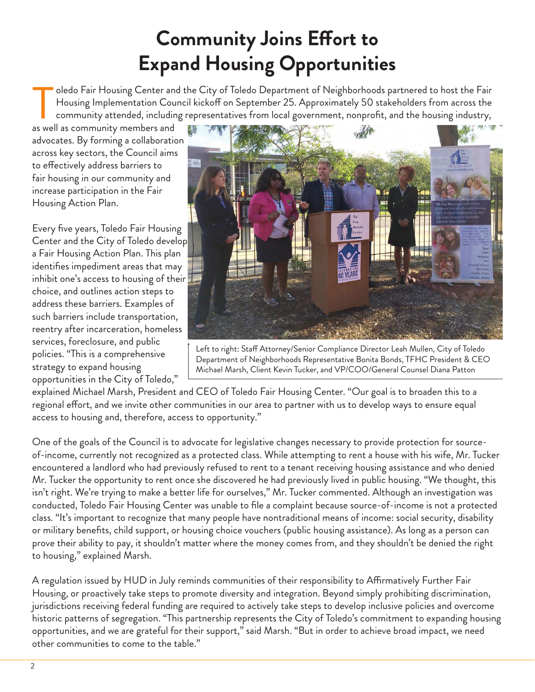# **Community Joins Effort to Expand Housing Opportunities**

oledo Fair Housing Center and the City of Toledo Department of Neighborhoods partnered to host the Fair Housing Implementation Council kickoff on September 25. Approximately 50 stakeholders from across the community attended, including representatives from local government, nonprofit, and the housing industry, oledo Fair Housing Center and<br>Housing Implementation Cou<br>community attended, including<br>as well as community members and

advocates. By forming a collaboration across key sectors, the Council aims to effectively address barriers to fair housing in our community and increase participation in the Fair Housing Action Plan.

Every five years, Toledo Fair Housing Center and the City of Toledo develop a Fair Housing Action Plan. This plan identifies impediment areas that may inhibit one's access to housing of their choice, and outlines action steps to address these barriers. Examples of such barriers include transportation, reentry after incarceration, homeless services, foreclosure, and public policies. "This is a comprehensive strategy to expand housing opportunities in the City of Toledo,"



Left to right: Staff Attorney/Senior Compliance Director Leah Mullen, City of Toledo Department of Neighborhoods Representative Bonita Bonds, TFHC President & CEO Michael Marsh, Client Kevin Tucker, and VP/COO/General Counsel Diana Patton

explained Michael Marsh, President and CEO of Toledo Fair Housing Center. "Our goal is to broaden this to a regional effort, and we invite other communities in our area to partner with us to develop ways to ensure equal access to housing and, therefore, access to opportunity."

One of the goals of the Council is to advocate for legislative changes necessary to provide protection for sourceof-income, currently not recognized as a protected class. While attempting to rent a house with his wife, Mr. Tucker encountered a landlord who had previously refused to rent to a tenant receiving housing assistance and who denied Mr. Tucker the opportunity to rent once she discovered he had previously lived in public housing. "We thought, this isn't right. We're trying to make a better life for ourselves," Mr. Tucker commented. Although an investigation was conducted, Toledo Fair Housing Center was unable to file a complaint because source-of-income is not a protected class. "It's important to recognize that many people have nontraditional means of income: social security, disability or military benefits, child support, or housing choice vouchers (public housing assistance). As long as a person can prove their ability to pay, it shouldn't matter where the money comes from, and they shouldn't be denied the right to housing," explained Marsh.

A regulation issued by HUD in July reminds communities of their responsibility to Affirmatively Further Fair Housing, or proactively take steps to promote diversity and integration. Beyond simply prohibiting discrimination, jurisdictions receiving federal funding are required to actively take steps to develop inclusive policies and overcome historic patterns of segregation. "This partnership represents the City of Toledo's commitment to expanding housing opportunities, and we are grateful for their support," said Marsh. "But in order to achieve broad impact, we need other communities to come to the table."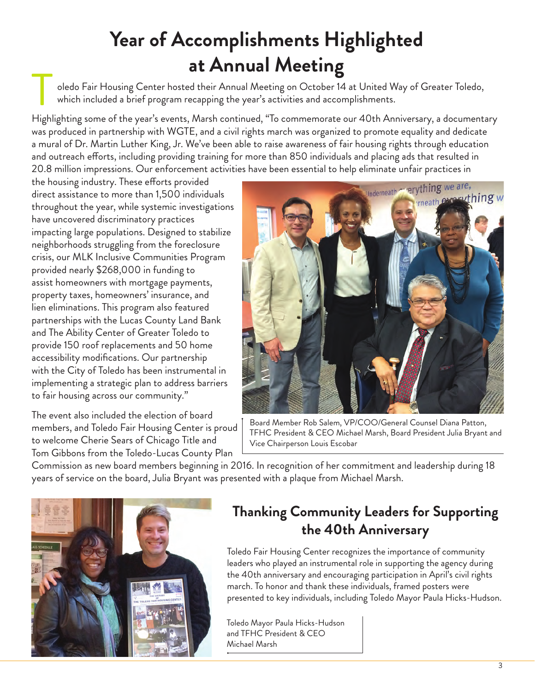# **Year of Accomplishments Highlighted at Annual Meeting**

oledo Fair Housing Center hosted their Annual Meeting on October 14 at United Way of Greater Toledo, which included a brief program recapping the year's activities and accomplishments.

Highlighting some of the year's events, Marsh continued, "To commemorate our 40th Anniversary, a documentary was produced in partnership with WGTE, and a civil rights march was organized to promote equality and dedicate a mural of Dr. Martin Luther King, Jr. We've been able to raise awareness of fair housing rights through education and outreach efforts, including providing training for more than 850 individuals and placing ads that resulted in 20.8 million impressions. Our enforcement activities have been essential to help eliminate unfair practices in T

the housing industry. These efforts provided direct assistance to more than 1,500 individuals throughout the year, while systemic investigations have uncovered discriminatory practices impacting large populations. Designed to stabilize neighborhoods struggling from the foreclosure crisis, our MLK Inclusive Communities Program provided nearly \$268,000 in funding to assist homeowners with mortgage payments, property taxes, homeowners' insurance, and lien eliminations. This program also featured partnerships with the Lucas County Land Bank and The Ability Center of Greater Toledo to provide 150 roof replacements and 50 home accessibility modifications. Our partnership with the City of Toledo has been instrumental in implementing a strategic plan to address barriers to fair housing across our community."

The event also included the election of board members, and Toledo Fair Housing Center is proud to welcome Cherie Sears of Chicago Title and Tom Gibbons from the Toledo-Lucas County Plan



Board Member Rob Salem, VP/COO/General Counsel Diana Patton, TFHC President & CEO Michael Marsh, Board President Julia Bryant and Vice Chairperson Louis Escobar

Commission as new board members beginning in 2016. In recognition of her commitment and leadership during 18 years of service on the board, Julia Bryant was presented with a plaque from Michael Marsh.



### **Thanking Community Leaders for Supporting the 40th Anniversary**

Toledo Fair Housing Center recognizes the importance of community leaders who played an instrumental role in supporting the agency during the 40th anniversary and encouraging participation in April's civil rights march. To honor and thank these individuals, framed posters were presented to key individuals, including Toledo Mayor Paula Hicks-Hudson.

Toledo Mayor Paula Hicks-Hudson and TFHC President & CEO Michael Marsh